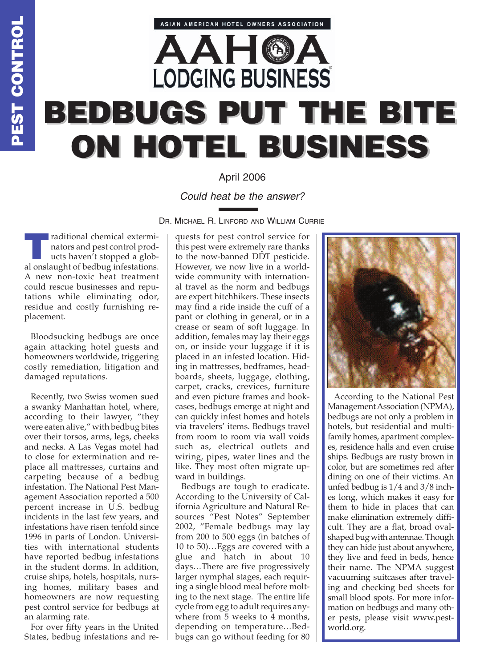## **AAHO LODGING BUSINESS BEDBUGS PUT THE BITE BEDBUGS PUT THE BITE ON HOTEL BUSINESS ON HOTEL BUSINESS**

ASIAN AMERICAN HOTEL OWNERS ASSOCIATION

## April 2006

## *Could heat be the answer?*

DR. MICHAEL R. LINFORD AND WILLIAM CURRIE

**Traditional chemical exterminators and pest control products haven't stopped a glob**nators and pest control products haven't stopped a global onslaught of bedbug infestations. A new non-toxic heat treatment could rescue businesses and reputations while eliminating odor, residue and costly furnishing replacement.

Bloodsucking bedbugs are once again attacking hotel guests and homeowners worldwide, triggering costly remediation, litigation and damaged reputations.

Recently, two Swiss women sued a swanky Manhattan hotel, where, according to their lawyer, "they were eaten alive," with bedbug bites over their torsos, arms, legs, cheeks and necks. A Las Vegas motel had to close for extermination and replace all mattresses, curtains and carpeting because of a bedbug infestation. The National Pest Management Association reported a 500 percent increase in U.S. bedbug incidents in the last few years, and infestations have risen tenfold since 1996 in parts of London. Universities with international students have reported bedbug infestations in the student dorms. In addition, cruise ships, hotels, hospitals, nursing homes, military bases and homeowners are now requesting pest control service for bedbugs at an alarming rate.

For over fifty years in the United States, bedbug infestations and re-

quests for pest control service for this pest were extremely rare thanks to the now-banned DDT pesticide. However, we now live in a worldwide community with international travel as the norm and bedbugs are expert hitchhikers. These insects may find a ride inside the cuff of a pant or clothing in general, or in a crease or seam of soft luggage. In addition, females may lay their eggs on, or inside your luggage if it is placed in an infested location. Hiding in mattresses, bedframes, headboards, sheets, luggage, clothing, carpet, cracks, crevices, furniture and even picture frames and bookcases, bedbugs emerge at night and can quickly infest homes and hotels via travelers' items. Bedbugs travel from room to room via wall voids such as, electrical outlets and wiring, pipes, water lines and the like. They most often migrate upward in buildings.

Bedbugs are tough to eradicate. According to the University of California Agriculture and Natural Resources "Pest Notes" September 2002, "Female bedbugs may lay from 200 to 500 eggs (in batches of 10 to 50)…Eggs are covered with a glue and hatch in about 10 days…There are five progressively larger nymphal stages, each requiring a single blood meal before molting to the next stage. The entire life cycle from egg to adult requires anywhere from  $5$  weeks to  $4$  months, depending on temperature…Bedbugs can go without feeding for 80



According to the National Pest Management Association (NPMA), bedbugs are not only a problem in hotels, but residential and multifamily homes, apartment complexes, residence halls and even cruise ships. Bedbugs are rusty brown in color, but are sometimes red after dining on one of their victims. An unfed bedbug is 1/4 and 3/8 inches long, which makes it easy for them to hide in places that can make elimination extremely difficult. They are a flat, broad ovalshaped bug with antennae. Though they can hide just about anywhere, they live and feed in beds, hence their name. The NPMA suggest vacuuming suitcases after traveling and checking bed sheets for small blood spots. For more information on bedbugs and many other pests, please visit www.pestworld.org.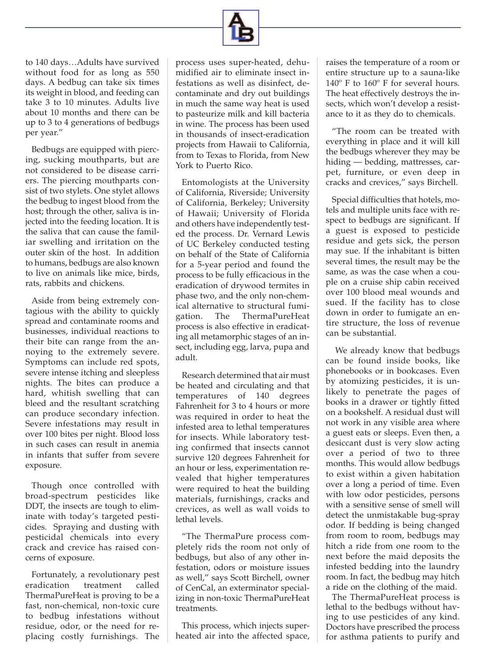

to 140 days…Adults have survived without food for as long as 550 days. A bedbug can take six times its weight in blood, and feeding can take 3 to 10 minutes. Adults live about 10 months and there can be up to 3 to 4 generations of bedbugs per year."

Bedbugs are equipped with piercing, sucking mouthparts, but are not considered to be disease carriers. The piercing mouthparts consist of two stylets. One stylet allows the bedbug to ingest blood from the host; through the other, saliva is injected into the feeding location. It is the saliva that can cause the familiar swelling and irritation on the outer skin of the host. In addition to humans, bedbugs are also known to live on animals like mice, birds, rats, rabbits and chickens.

Aside from being extremely contagious with the ability to quickly spread and contaminate rooms and businesses, individual reactions to their bite can range from the annoying to the extremely severe. Symptoms can include red spots, severe intense itching and sleepless nights. The bites can produce a hard, whitish swelling that can bleed and the resultant scratching can produce secondary infection. Severe infestations may result in over 100 bites per night. Blood loss in such cases can result in anemia in infants that suffer from severe exposure.

Though once controlled with broad-spectrum pesticides like DDT, the insects are tough to eliminate with today's targeted pesticides. Spraying and dusting with pesticidal chemicals into every crack and crevice has raised concerns of exposure.

Fortunately, a revolutionary pest eradication treatment called ThermaPureHeat is proving to be a fast, non-chemical, non-toxic cure to bedbug infestations without residue, odor, or the need for replacing costly furnishings. The

process uses super-heated, dehumidified air to eliminate insect infestations as well as disinfect, decontaminate and dry out buildings in much the same way heat is used to pasteurize milk and kill bacteria in wine. The process has been used in thousands of insect-eradication projects from Hawaii to California, from to Texas to Florida, from New York to Puerto Rico.

Entomologists at the University of California, Riverside; University of California, Berkeley; University of Hawaii; University of Florida and others have independently tested the process. Dr. Vernard Lewis of UC Berkeley conducted testing on behalf of the State of California for a 5-year period and found the process to be fully efficacious in the eradication of drywood termites in phase two, and the only non-chemical alternative to structural fumigation. The ThermaPureHeat process is also effective in eradicating all metamorphic stages of an insect, including egg, larva, pupa and adult.

Research determined that air must be heated and circulating and that temperatures of 140 degrees Fahrenheit for 3 to 4 hours or more was required in order to heat the infested area to lethal temperatures for insects. While laboratory testing confirmed that insects cannot survive 120 degrees Fahrenheit for an hour or less, experimentation revealed that higher temperatures were required to heat the building materials, furnishings, cracks and crevices, as well as wall voids to lethal levels.

"The ThermaPure process completely rids the room not only of bedbugs, but also of any other infestation, odors or moisture issues as well," says Scott Birchell, owner of CenCal, an exterminator specializing in non-toxic ThermaPureHeat treatments.

This process, which injects superheated air into the affected space, raises the temperature of a room or entire structure up to a sauna-like 140º F to 160º F for several hours. The heat effectively destroys the insects, which won't develop a resistance to it as they do to chemicals.

"The room can be treated with everything in place and it will kill the bedbugs wherever they may be hiding — bedding, mattresses, carpet, furniture, or even deep in cracks and crevices," says Birchell.

Special difficulties that hotels, motels and multiple units face with respect to bedbugs are significant. If a guest is exposed to pesticide residue and gets sick, the person may sue. If the inhabitant is bitten several times, the result may be the same, as was the case when a couple on a cruise ship cabin received over 100 blood meal wounds and sued. If the facility has to close down in order to fumigate an entire structure, the loss of revenue can be substantial.

We already know that bedbugs can be found inside books, like phonebooks or in bookcases. Even by atomizing pesticides, it is unlikely to penetrate the pages of books in a drawer or tightly fitted on a bookshelf. A residual dust will not work in any visible area where a guest eats or sleeps. Even then, a desiccant dust is very slow acting over a period of two to three months. This would allow bedbugs to exist within a given habitation over a long a period of time. Even with low odor pesticides, persons with a sensitive sense of smell will detect the unmistakable bug-spray odor. If bedding is being changed from room to room, bedbugs may hitch a ride from one room to the next before the maid deposits the infested bedding into the laundry room. In fact, the bedbug may hitch a ride on the clothing of the maid.

The ThermaPureHeat process is lethal to the bedbugs without having to use pesticides of any kind. Doctors have prescribed the process for asthma patients to purify and